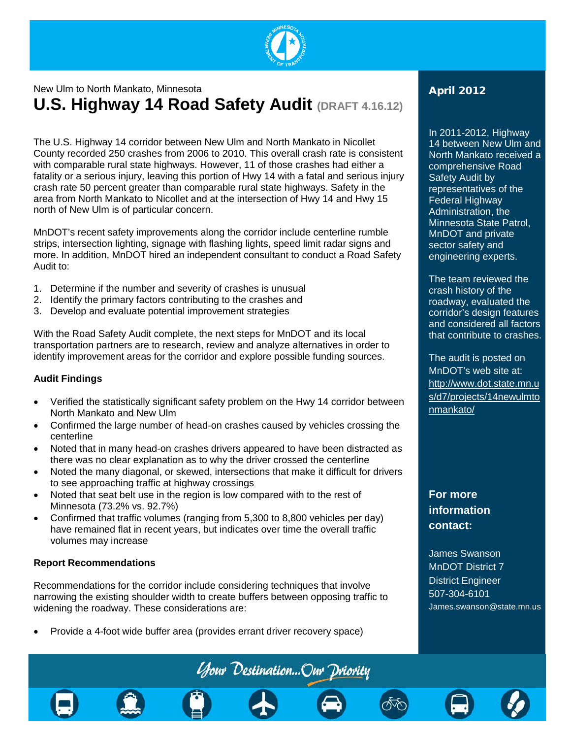

# New Ulm to North Mankato, Minnesota **U.S. Highway 14 Road Safety Audit (DRAFT 4.16.12)**

The U.S. Highway 14 corridor between New Ulm and North Mankato in Nicollet County recorded 250 crashes from 2006 to 2010. This overall crash rate is consistent with comparable rural state highways. However, 11 of those crashes had either a fatality or a serious injury, leaving this portion of Hwy 14 with a fatal and serious injury crash rate 50 percent greater than comparable rural state highways. Safety in the area from North Mankato to Nicollet and at the intersection of Hwy 14 and Hwy 15 north of New Ulm is of particular concern.

MnDOT's recent safety improvements along the corridor include centerline rumble strips, intersection lighting, signage with flashing lights, speed limit radar signs and more. In addition, MnDOT hired an independent consultant to conduct a Road Safety Audit to:

- 1. Determine if the number and severity of crashes is unusual
- 2. Identify the primary factors contributing to the crashes and
- 3. Develop and evaluate potential improvement strategies

With the Road Safety Audit complete, the next steps for MnDOT and its local transportation partners are to research, review and analyze alternatives in order to identify improvement areas for the corridor and explore possible funding sources.

#### **Audit Findings**

- Verified the statistically significant safety problem on the Hwy 14 corridor between North Mankato and New Ulm
- Confirmed the large number of head-on crashes caused by vehicles crossing the centerline
- Noted that in many head-on crashes drivers appeared to have been distracted as there was no clear explanation as to why the driver crossed the centerline
- Noted the many diagonal, or skewed, intersections that make it difficult for drivers to see approaching traffic at highway crossings
- Noted that seat belt use in the region is low compared with to the rest of Minnesota (73.2% vs. 92.7%)
- Confirmed that traffic volumes (ranging from 5,300 to 8,800 vehicles per day) have remained flat in recent years, but indicates over time the overall traffic volumes may increase

#### **Report Recommendations**

Recommendations for the corridor include considering techniques that involve narrowing the existing shoulder width to create buffers between opposing traffic to widening the roadway. These considerations are:

**Your Destination...Our Priority** 

• Provide a 4-foot wide buffer area (provides errant driver recovery space)

## April 2012

#### In 2011-2012, Highway

14 between New Ulm and North Mankato received a comprehensive Road Safety Audit by representatives of the Federal Highway Administration, the Minnesota State Patrol, MnDOT and private sector safety and engineering experts.

The team reviewed the crash history of the roadway, evaluated the corridor's design features and considered all factors that contribute to crashes.

The audit is posted on MnDOT's web site at: [http://www.dot.state.mn.u](http://www.dot.state.mn.us/d7/projects/14newulmtonmankato/) [s/d7/projects/14newulmto](http://www.dot.state.mn.us/d7/projects/14newulmtonmankato/) [nmankato/](http://www.dot.state.mn.us/d7/projects/14newulmtonmankato/)

# **For more information contact:**

James Swanson MnDOT District 7 District Engineer 507-304-6101 James.swanson@state.mn.us